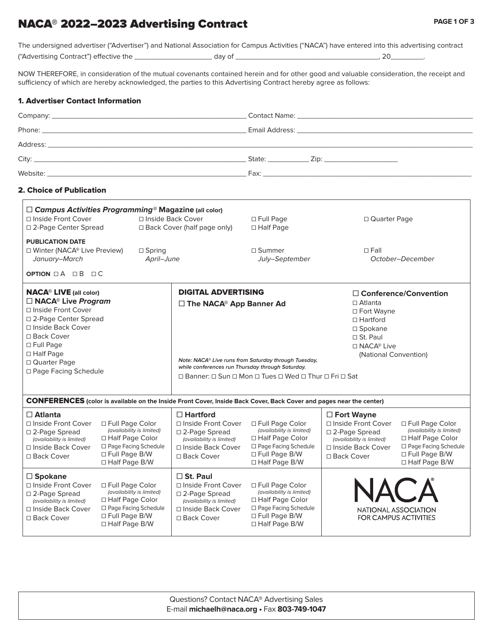# NACA® 2022–2023 Advertising Contract

The undersigned advertiser ("Advertiser") and National Association for Campus Activities ("NACA") have entered into this advertising contract

("Advertising Contract") effective the \_\_\_\_\_\_\_\_\_\_\_\_\_\_\_\_\_\_\_ day of \_\_\_\_\_\_\_\_\_\_\_\_\_\_\_\_\_\_\_\_\_\_\_\_\_\_\_\_\_\_\_\_\_\_\_, 20\_\_\_\_\_\_\_\_.

NOW THEREFORE, in consideration of the mutual covenants contained herein and for other good and valuable consideration, the receipt and sufficiency of which are hereby acknowledged, the parties to this Advertising Contract hereby agree as follows:

# 1. Advertiser Contact Information

| State: <u>__________</u> Zip: _________________________ |
|---------------------------------------------------------|
|                                                         |
|                                                         |

# 2. Choice of Publication

 $\Gamma$ 

| $\Box$ Campus Activities Programming <sup>®</sup> Magazine (all color)<br>□ Inside Front Cover<br>□ Inside Back Cover<br>□ 2-Page Center Spread<br>$\Box$ Back Cover (half page only)                                                                     |                                                                                                                                     | $\Box$ Full Page<br>□ Quarter Page<br>$\Box$ Half Page                                                                              |                                                                                                                                                                                                                                                                                                                                                                                                                                 |                                                                                                                                  |                                                                                                                                          |
|-----------------------------------------------------------------------------------------------------------------------------------------------------------------------------------------------------------------------------------------------------------|-------------------------------------------------------------------------------------------------------------------------------------|-------------------------------------------------------------------------------------------------------------------------------------|---------------------------------------------------------------------------------------------------------------------------------------------------------------------------------------------------------------------------------------------------------------------------------------------------------------------------------------------------------------------------------------------------------------------------------|----------------------------------------------------------------------------------------------------------------------------------|------------------------------------------------------------------------------------------------------------------------------------------|
| <b>PUBLICATION DATE</b><br>□ Winter (NACA® Live Preview)<br>$\Box$ Spring<br>January-March<br>April-June<br>OPTION OA OB OC                                                                                                                               |                                                                                                                                     |                                                                                                                                     | □ Summer<br>July-September                                                                                                                                                                                                                                                                                                                                                                                                      | $\Box$ Fall                                                                                                                      | October-December                                                                                                                         |
| <b>NACA<sup>®</sup> LIVE</b> (all color)<br>$\Box$ NACA <sup>®</sup> Live Program<br>□ Inside Front Cover<br>□ 2-Page Center Spread<br>□ Inside Back Cover<br>□ Back Cover<br>□ Full Page<br>$\Box$ Half Page<br>□ Quarter Page<br>□ Page Facing Schedule |                                                                                                                                     |                                                                                                                                     | <b>DIGITAL ADVERTISING</b><br>$\Box$ Conference/Convention<br>$\Box$ Atlanta<br>□ The NACA <sup>®</sup> App Banner Ad<br>□ Fort Wayne<br>$\Box$ Hartford<br>$\square$ Spokane<br>$\Box$ St. Paul<br>$\Box$ NACA <sup>®</sup> Live<br>(National Convention)<br>Note: NACA® Live runs from Saturday through Tuesday,<br>while conferences run Thursday through Saturday.<br>□ Banner: □ Sun □ Mon □ Tues □ Wed □ Thur □ Fri □ Sat |                                                                                                                                  |                                                                                                                                          |
|                                                                                                                                                                                                                                                           |                                                                                                                                     |                                                                                                                                     | <b>CONFERENCES</b> (color is available on the Inside Front Cover, Inside Back Cover, Back Cover and pages near the center)                                                                                                                                                                                                                                                                                                      |                                                                                                                                  |                                                                                                                                          |
| $\Box$ Atlanta<br>□ Inside Front Cover<br>□ 2-Page Spread<br>(availability is limited)<br>□ Inside Back Cover<br>□ Back Cover                                                                                                                             | □ Full Page Color<br>(availability is limited)<br>□ Half Page Color<br>□ Page Facing Schedule<br>□ Full Page B/W<br>□ Half Page B/W | $\Box$ Hartford<br>□ Inside Front Cover<br>□ 2-Page Spread<br>(availability is limited)<br>□ Inside Back Cover<br>□ Back Cover      | □ Full Page Color<br>(availability is limited)<br>□ Half Page Color<br>□ Page Facing Schedule<br>□ Full Page B/W<br>□ Half Page B/W                                                                                                                                                                                                                                                                                             | $\Box$ Fort Wayne<br>□ Inside Front Cover<br>□ 2-Page Spread<br>(availability is limited)<br>□ Inside Back Cover<br>□ Back Cover | □ Full Page Color<br>(availability is limited)<br>□ Half Page Color<br>□ Page Facing Schedule<br>□ Full Page B/W<br>$\Box$ Half Page B/W |
| $\Box$ Spokane<br>□ Inside Front Cover<br>□ 2-Page Spread<br>(availability is limited)<br>□ Inside Back Cover<br>□ Back Cover                                                                                                                             | □ Full Page Color<br>(availability is limited)<br>□ Half Page Color<br>□ Page Facing Schedule<br>□ Full Page B/W<br>□ Half Page B/W | $\Box$ St. Paul<br>□ Inside Front Cover<br>□ 2-Page Spread<br>(availability is limited)<br>□ Inside Back Cover<br>$\Box$ Back Cover | □ Full Page Color<br>(availability is limited)<br>□ Half Page Color<br>□ Page Facing Schedule<br>□ Full Page B/W<br>□ Half Page B/W                                                                                                                                                                                                                                                                                             | NAC A                                                                                                                            | NATIONAL ASSOCIATION<br><b>FOR CAMPUS ACTIVITIES</b>                                                                                     |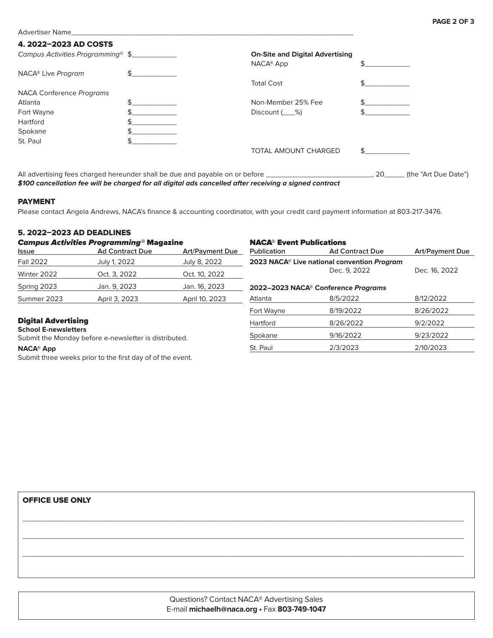Advertiser Name

## 4. 2022–2023 AD COSTS

| Campus Activities Programming® \$ |                                                                                                     | <b>On-Site and Digital Advertising</b> |                           |
|-----------------------------------|-----------------------------------------------------------------------------------------------------|----------------------------------------|---------------------------|
|                                   |                                                                                                     | NACA <sup>®</sup> App                  |                           |
| NACA <sup>®</sup> Live Program    | \$                                                                                                  |                                        |                           |
|                                   |                                                                                                     | <b>Total Cost</b>                      |                           |
| NACA Conference Programs          |                                                                                                     |                                        |                           |
| Atlanta                           | ፍ                                                                                                   | Non-Member 25% Fee                     |                           |
| Fort Wayne                        |                                                                                                     | Discount $($ $\%$ )                    |                           |
| Hartford                          |                                                                                                     |                                        |                           |
| Spokane                           |                                                                                                     |                                        |                           |
| St. Paul                          |                                                                                                     |                                        |                           |
|                                   |                                                                                                     | <b>TOTAL AMOUNT CHARGED</b>            |                           |
|                                   | All advertising fees charged hereunder shall be due and payable on or before ______________________ |                                        | the "Art Due Date")<br>20 |

**\$100 cancellation fee will be charged for all digital ads cancelled after receiving a signed contract**

#### PAYMENT

Please contact Angela Andrews, NACA's finance & accounting coordinator, with your credit card payment information at 803-217-3476.

## 5. 2022–2023 AD DEADLINES

| <b>Campus Activities Programming® Magazine</b>                                       |                        |                        | <b>NACA<sup>®</sup> Event Publications</b>              |                                                 |                        |
|--------------------------------------------------------------------------------------|------------------------|------------------------|---------------------------------------------------------|-------------------------------------------------|------------------------|
| Issue                                                                                | <b>Ad Contract Due</b> | <b>Art/Payment Due</b> | <b>Publication</b>                                      | <b>Ad Contract Due</b>                          | <b>Art/Payment Due</b> |
| <b>Fall 2022</b>                                                                     | July 1, 2022           | July 8, 2022           | 2023 NACA <sup>®</sup> Live national convention Program |                                                 |                        |
| Winter 2022                                                                          | Oct. 3. 2022           | Oct. 10, 2022          |                                                         | Dec. 9, 2022                                    | Dec. 16, 2022          |
| Spring 2023                                                                          | Jan. 9, 2023           | Jan. 16, 2023          |                                                         | 2022-2023 NACA <sup>®</sup> Conference Programs |                        |
| Summer 2023                                                                          | April 3, 2023          | April 10, 2023         | Atlanta                                                 | 8/5/2022                                        | 8/12/2022              |
|                                                                                      |                        |                        | Fort Wayne                                              | 8/19/2022                                       | 8/26/2022              |
| <b>Digital Advertising</b>                                                           |                        |                        | Hartford                                                | 8/26/2022                                       | 9/2/2022               |
| <b>School E-newsletters</b><br>Submit the Monday before e-newsletter is distributed. |                        |                        | Spokane                                                 | 9/16/2022                                       | 9/23/2022              |
| <b>NACA® App</b>                                                                     |                        |                        | St. Paul                                                | 2/3/2023                                        | 2/10/2023              |

#### **NACA® App**

Submit three weeks prior to the first day of of the event.

#### OFFICE USE ONLY

Questions? Contact NACA® Advertising Sales E-mail **michaelh@naca.org •** Fax **803-749-1047**

\_\_\_\_\_\_\_\_\_\_\_\_\_\_\_\_\_\_\_\_\_\_\_\_\_\_\_\_\_\_\_\_\_\_\_\_\_\_\_\_\_\_\_\_\_\_\_\_\_\_\_\_\_\_\_\_\_\_\_\_\_\_\_\_\_\_\_\_\_\_\_\_\_\_\_\_\_\_\_\_\_\_\_\_\_\_\_\_\_\_\_\_\_\_\_\_\_\_\_\_\_\_\_\_\_\_\_\_

\_\_\_\_\_\_\_\_\_\_\_\_\_\_\_\_\_\_\_\_\_\_\_\_\_\_\_\_\_\_\_\_\_\_\_\_\_\_\_\_\_\_\_\_\_\_\_\_\_\_\_\_\_\_\_\_\_\_\_\_\_\_\_\_\_\_\_\_\_\_\_\_\_\_\_\_\_\_\_\_\_\_\_\_\_\_\_\_\_\_\_\_\_\_\_\_\_\_\_\_\_\_\_\_\_\_\_\_

\_\_\_\_\_\_\_\_\_\_\_\_\_\_\_\_\_\_\_\_\_\_\_\_\_\_\_\_\_\_\_\_\_\_\_\_\_\_\_\_\_\_\_\_\_\_\_\_\_\_\_\_\_\_\_\_\_\_\_\_\_\_\_\_\_\_\_\_\_\_\_\_\_\_\_\_\_\_\_\_\_\_\_\_\_\_\_\_\_\_\_\_\_\_\_\_\_\_\_\_\_\_\_\_\_\_\_\_